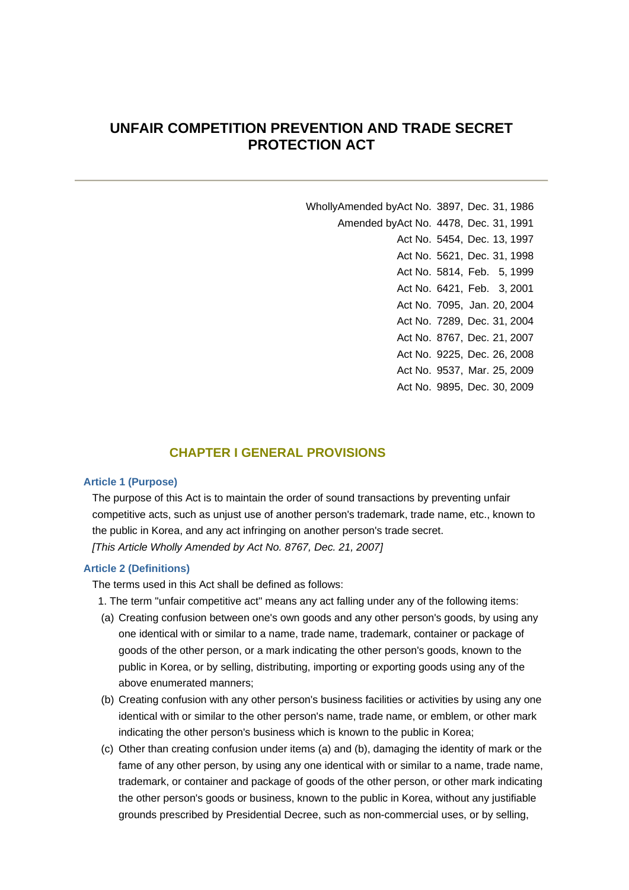## **UNFAIR COMPETITION PREVENTION AND TRADE SECRET PROTECTION ACT**

WhollyAmended byAct No. 3897, Dec. 31, 1986 Amended byAct No. 4478, Dec. 31, 1991 Act No. 5454, Dec. 13, 1997 Act No. 5621, Dec. 31, 1998 Act No. 5814, Feb. 5, 1999 Act No. 6421, Feb. 3, 2001 Act No. 7095, Jan. 20, 2004 Act No. 7289, Dec. 31, 2004 Act No. 8767, Dec. 21, 2007 Act No. 9225, Dec. 26, 2008 Act No. 9537, Mar. 25, 2009 Act No. 9895, Dec. 30, 2009

### **CHAPTER I GENERAL PROVISIONS**

### **Article 1 (Purpose)**

The purpose of this Act is to maintain the order of sound transactions by preventing unfair competitive acts, such as unjust use of another person's trademark, trade name, etc., known to the public in Korea, and any act infringing on another person's trade secret. *[This Article Wholly Amended by Act No. 8767, Dec. 21, 2007]*

### **Article 2 (Definitions)**

The terms used in this Act shall be defined as follows:

1. The term "unfair competitive act" means any act falling under any of the following items:

- (a) Creating confusion between one's own goods and any other person's goods, by using any one identical with or similar to a name, trade name, trademark, container or package of goods of the other person, or a mark indicating the other person's goods, known to the public in Korea, or by selling, distributing, importing or exporting goods using any of the above enumerated manners;
- (b) Creating confusion with any other person's business facilities or activities by using any one identical with or similar to the other person's name, trade name, or emblem, or other mark indicating the other person's business which is known to the public in Korea;
- (c) Other than creating confusion under items (a) and (b), damaging the identity of mark or the fame of any other person, by using any one identical with or similar to a name, trade name, trademark, or container and package of goods of the other person, or other mark indicating the other person's goods or business, known to the public in Korea, without any justifiable grounds prescribed by Presidential Decree, such as non-commercial uses, or by selling,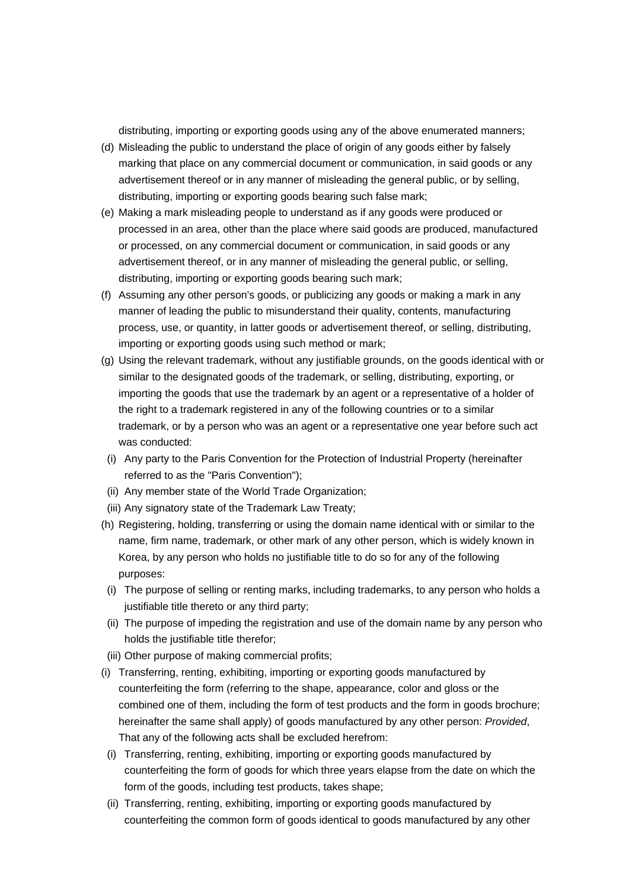distributing, importing or exporting goods using any of the above enumerated manners;

- (d) Misleading the public to understand the place of origin of any goods either by falsely marking that place on any commercial document or communication, in said goods or any advertisement thereof or in any manner of misleading the general public, or by selling, distributing, importing or exporting goods bearing such false mark;
- (e) Making a mark misleading people to understand as if any goods were produced or processed in an area, other than the place where said goods are produced, manufactured or processed, on any commercial document or communication, in said goods or any advertisement thereof, or in any manner of misleading the general public, or selling, distributing, importing or exporting goods bearing such mark;
- (f) Assuming any other person's goods, or publicizing any goods or making a mark in any manner of leading the public to misunderstand their quality, contents, manufacturing process, use, or quantity, in latter goods or advertisement thereof, or selling, distributing, importing or exporting goods using such method or mark;
- (g) Using the relevant trademark, without any justifiable grounds, on the goods identical with or similar to the designated goods of the trademark, or selling, distributing, exporting, or importing the goods that use the trademark by an agent or a representative of a holder of the right to a trademark registered in any of the following countries or to a similar trademark, or by a person who was an agent or a representative one year before such act was conducted:
	- (i) Any party to the Paris Convention for the Protection of Industrial Property (hereinafter referred to as the "Paris Convention");
- (ii) Any member state of the World Trade Organization;
- (iii) Any signatory state of the Trademark Law Treaty;
- (h) Registering, holding, transferring or using the domain name identical with or similar to the name, firm name, trademark, or other mark of any other person, which is widely known in Korea, by any person who holds no justifiable title to do so for any of the following purposes:
	- (i) The purpose of selling or renting marks, including trademarks, to any person who holds a justifiable title thereto or any third party;
	- (ii) The purpose of impeding the registration and use of the domain name by any person who holds the justifiable title therefor;
- (iii) Other purpose of making commercial profits;
- (i) Transferring, renting, exhibiting, importing or exporting goods manufactured by counterfeiting the form (referring to the shape, appearance, color and gloss or the combined one of them, including the form of test products and the form in goods brochure; hereinafter the same shall apply) of goods manufactured by any other person: *Provided*, That any of the following acts shall be excluded herefrom:
- (i) Transferring, renting, exhibiting, importing or exporting goods manufactured by counterfeiting the form of goods for which three years elapse from the date on which the form of the goods, including test products, takes shape;
- (ii) Transferring, renting, exhibiting, importing or exporting goods manufactured by counterfeiting the common form of goods identical to goods manufactured by any other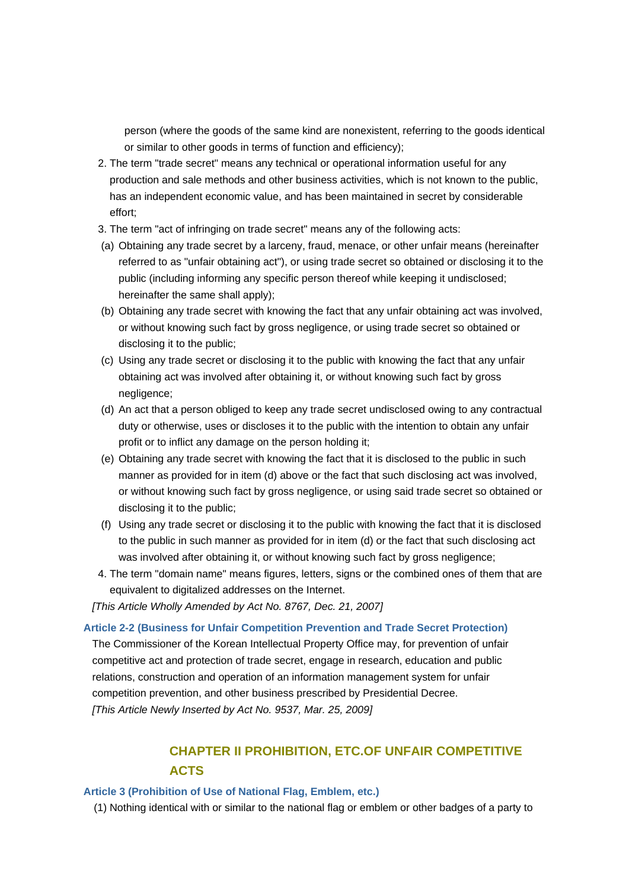person (where the goods of the same kind are nonexistent, referring to the goods identical or similar to other goods in terms of function and efficiency);

- 2. The term "trade secret" means any technical or operational information useful for any production and sale methods and other business activities, which is not known to the public, has an independent economic value, and has been maintained in secret by considerable effort;
- 3. The term "act of infringing on trade secret" means any of the following acts:
- (a) Obtaining any trade secret by a larceny, fraud, menace, or other unfair means (hereinafter referred to as "unfair obtaining act"), or using trade secret so obtained or disclosing it to the public (including informing any specific person thereof while keeping it undisclosed; hereinafter the same shall apply);
- (b) Obtaining any trade secret with knowing the fact that any unfair obtaining act was involved, or without knowing such fact by gross negligence, or using trade secret so obtained or disclosing it to the public;
- (c) Using any trade secret or disclosing it to the public with knowing the fact that any unfair obtaining act was involved after obtaining it, or without knowing such fact by gross negligence;
- (d) An act that a person obliged to keep any trade secret undisclosed owing to any contractual duty or otherwise, uses or discloses it to the public with the intention to obtain any unfair profit or to inflict any damage on the person holding it;
- (e) Obtaining any trade secret with knowing the fact that it is disclosed to the public in such manner as provided for in item (d) above or the fact that such disclosing act was involved, or without knowing such fact by gross negligence, or using said trade secret so obtained or disclosing it to the public;
- (f) Using any trade secret or disclosing it to the public with knowing the fact that it is disclosed to the public in such manner as provided for in item (d) or the fact that such disclosing act was involved after obtaining it, or without knowing such fact by gross negligence;
- 4. The term "domain name" means figures, letters, signs or the combined ones of them that are equivalent to digitalized addresses on the Internet.

*[This Article Wholly Amended by Act No. 8767, Dec. 21, 2007]*

**Article 2-2 (Business for Unfair Competition Prevention and Trade Secret Protection)** The Commissioner of the Korean Intellectual Property Office may, for prevention of unfair competitive act and protection of trade secret, engage in research, education and public relations, construction and operation of an information management system for unfair competition prevention, and other business prescribed by Presidential Decree. *[This Article Newly Inserted by Act No. 9537, Mar. 25, 2009]*

# **CHAPTER II PROHIBITION, ETC.OF UNFAIR COMPETITIVE ACTS**

### **Article 3 (Prohibition of Use of National Flag, Emblem, etc.)**

(1) Nothing identical with or similar to the national flag or emblem or other badges of a party to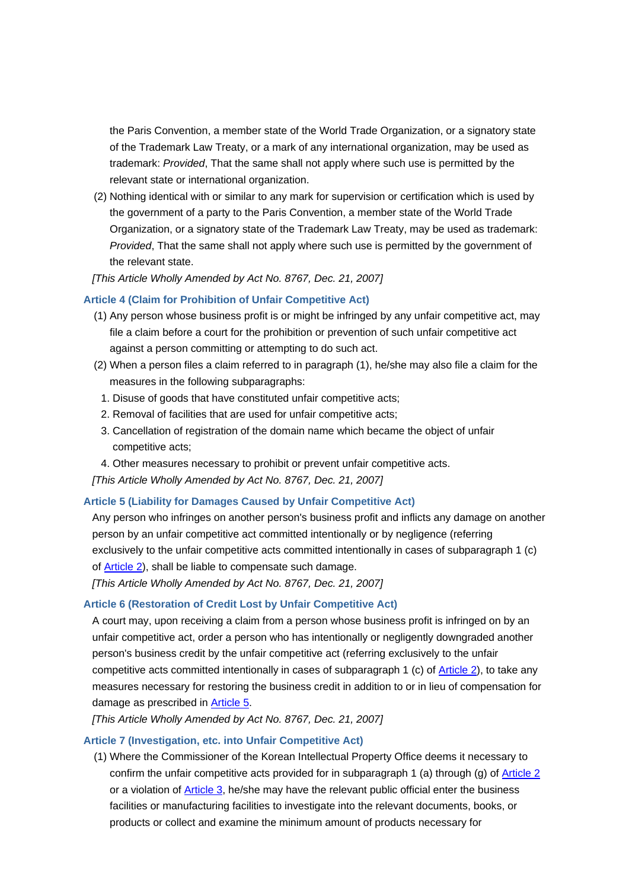the Paris Convention, a member state of the World Trade Organization, or a signatory state of the Trademark Law Treaty, or a mark of any international organization, may be used as trademark: *Provided*, That the same shall not apply where such use is permitted by the relevant state or international organization.

(2) Nothing identical with or similar to any mark for supervision or certification which is used by the government of a party to the Paris Convention, a member state of the World Trade Organization, or a signatory state of the Trademark Law Treaty, may be used as trademark: *Provided*, That the same shall not apply where such use is permitted by the government of the relevant state.

*[This Article Wholly Amended by Act No. 8767, Dec. 21, 2007]*

### **Article 4 (Claim for Prohibition of Unfair Competitive Act)**

- (1) Any person whose business profit is or might be infringed by any unfair competitive act, may file a claim before a court for the prohibition or prevention of such unfair competitive act against a person committing or attempting to do such act.
- (2) When a person files a claim referred to in paragraph (1), he/she may also file a claim for the measures in the following subparagraphs:
	- 1. Disuse of goods that have constituted unfair competitive acts;
	- 2. Removal of facilities that are used for unfair competitive acts;
	- 3. Cancellation of registration of the domain name which became the object of unfair competitive acts;
	- 4. Other measures necessary to prohibit or prevent unfair competitive acts.

*[This Article Wholly Amended by Act No. 8767, Dec. 21, 2007]*

### **Article 5 (Liability for Damages Caused by Unfair Competitive Act)**

Any person who infringes on another person's business profit and inflicts any damage on another person by an unfair competitive act committed intentionally or by negligence (referring exclusively to the unfair competitive acts committed intentionally in cases of subparagraph 1 (c) of Article 2), shall be liable to compensate such damage.

*[This Article Wholly Amended by Act No. 8767, Dec. 21, 2007]*

### **Article 6 (Restoration of Credit Lost by Unfair Competitive Act)**

A court may, upon receiving a claim from a person whose business profit is infringed on by an unfair competitive act, order a person who has intentionally or negligently downgraded another person's business credit by the unfair competitive act (referring exclusively to the unfair competitive acts committed intentionally in cases of subparagraph 1 (c) of Article 2), to take any measures necessary for restoring the business credit in addition to or in lieu of compensation for damage as prescribed in Article 5.

*[This Article Wholly Amended by Act No. 8767, Dec. 21, 2007]*

### **Article 7 (Investigation, etc. into Unfair Competitive Act)**

(1) Where the Commissioner of the Korean Intellectual Property Office deems it necessary to confirm the unfair competitive acts provided for in subparagraph 1 (a) through (g) of Article 2 or a violation of Article 3, he/she may have the relevant public official enter the business facilities or manufacturing facilities to investigate into the relevant documents, books, or products or collect and examine the minimum amount of products necessary for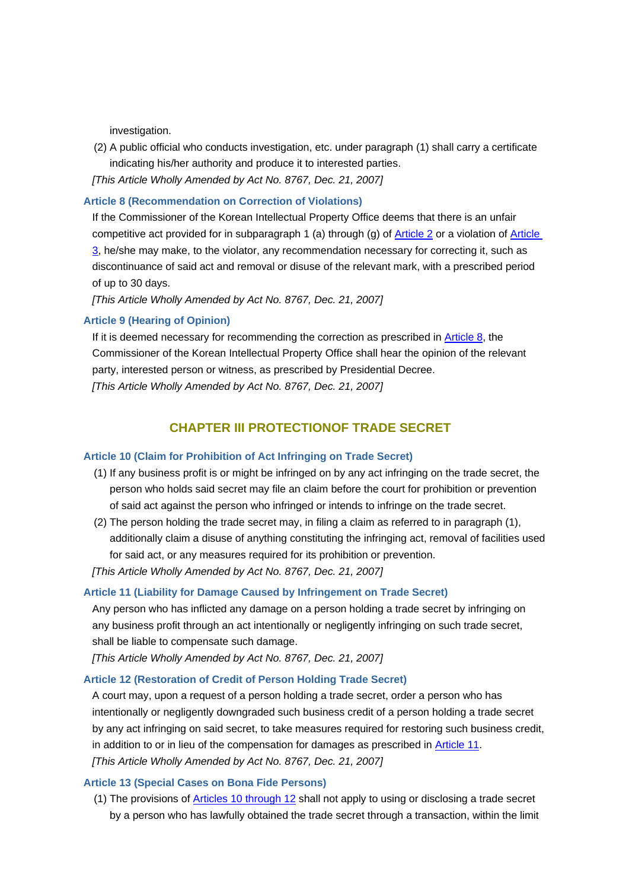investigation.

(2) A public official who conducts investigation, etc. under paragraph (1) shall carry a certificate indicating his/her authority and produce it to interested parties.

*[This Article Wholly Amended by Act No. 8767, Dec. 21, 2007]*

### **Article 8 (Recommendation on Correction of Violations)**

If the Commissioner of the Korean Intellectual Property Office deems that there is an unfair competitive act provided for in subparagraph 1 (a) through (g) of Article 2 or a violation of Article 3, he/she may make, to the violator, any recommendation necessary for correcting it, such as discontinuance of said act and removal or disuse of the relevant mark, with a prescribed period of up to 30 days.

*[This Article Wholly Amended by Act No. 8767, Dec. 21, 2007]*

### **Article 9 (Hearing of Opinion)**

If it is deemed necessary for recommending the correction as prescribed in Article 8, the Commissioner of the Korean Intellectual Property Office shall hear the opinion of the relevant party, interested person or witness, as prescribed by Presidential Decree. *[This Article Wholly Amended by Act No. 8767, Dec. 21, 2007]*

# **CHAPTER III PROTECTIONOF TRADE SECRET**

#### **Article 10 (Claim for Prohibition of Act Infringing on Trade Secret)**

- (1) If any business profit is or might be infringed on by any act infringing on the trade secret, the person who holds said secret may file an claim before the court for prohibition or prevention of said act against the person who infringed or intends to infringe on the trade secret.
- (2) The person holding the trade secret may, in filing a claim as referred to in paragraph (1), additionally claim a disuse of anything constituting the infringing act, removal of facilities used for said act, or any measures required for its prohibition or prevention.

*[This Article Wholly Amended by Act No. 8767, Dec. 21, 2007]*

### **Article 11 (Liability for Damage Caused by Infringement on Trade Secret)**

Any person who has inflicted any damage on a person holding a trade secret by infringing on any business profit through an act intentionally or negligently infringing on such trade secret, shall be liable to compensate such damage.

*[This Article Wholly Amended by Act No. 8767, Dec. 21, 2007]*

### **Article 12 (Restoration of Credit of Person Holding Trade Secret)**

A court may, upon a request of a person holding a trade secret, order a person who has intentionally or negligently downgraded such business credit of a person holding a trade secret by any act infringing on said secret, to take measures required for restoring such business credit, in addition to or in lieu of the compensation for damages as prescribed in **Article 11**. *[This Article Wholly Amended by Act No. 8767, Dec. 21, 2007]*

### **Article 13 (Special Cases on Bona Fide Persons)**

(1) The provisions of Articles 10 through 12 shall not apply to using or disclosing a trade secret by a person who has lawfully obtained the trade secret through a transaction, within the limit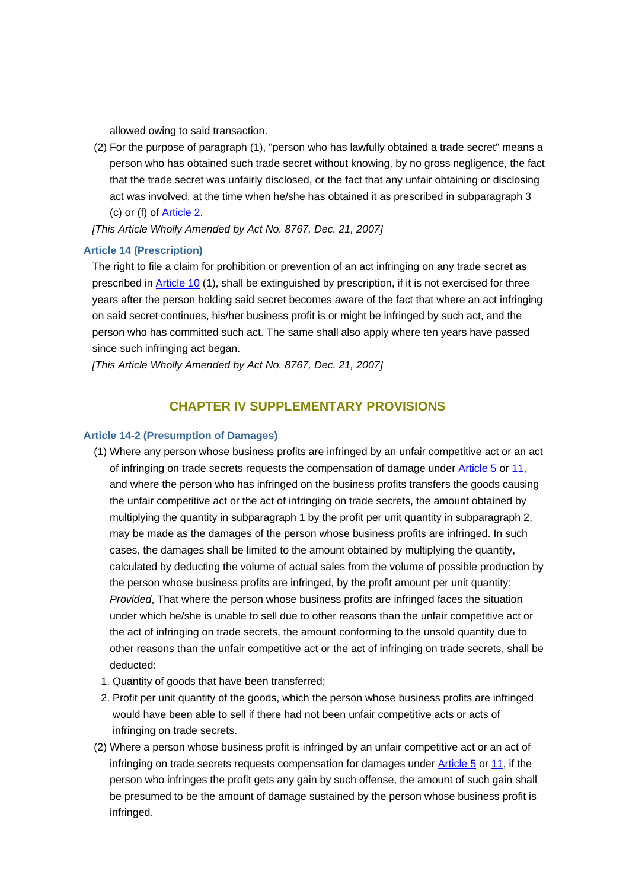allowed owing to said transaction.

(2) For the purpose of paragraph (1), "person who has lawfully obtained a trade secret" means a person who has obtained such trade secret without knowing, by no gross negligence, the fact that the trade secret was unfairly disclosed, or the fact that any unfair obtaining or disclosing act was involved, at the time when he/she has obtained it as prescribed in subparagraph 3 (c) or (f) of Article 2.

*[This Article Wholly Amended by Act No. 8767, Dec. 21, 2007]*

### **Article 14 (Prescription)**

The right to file a claim for prohibition or prevention of an act infringing on any trade secret as prescribed in Article 10 (1), shall be extinguished by prescription, if it is not exercised for three years after the person holding said secret becomes aware of the fact that where an act infringing on said secret continues, his/her business profit is or might be infringed by such act, and the person who has committed such act. The same shall also apply where ten years have passed since such infringing act began.

*[This Article Wholly Amended by Act No. 8767, Dec. 21, 2007]*

### **CHAPTER IV SUPPLEMENTARY PROVISIONS**

### **Article 14-2 (Presumption of Damages)**

- (1) Where any person whose business profits are infringed by an unfair competitive act or an act of infringing on trade secrets requests the compensation of damage under Article 5 or 11, and where the person who has infringed on the business profits transfers the goods causing the unfair competitive act or the act of infringing on trade secrets, the amount obtained by multiplying the quantity in subparagraph 1 by the profit per unit quantity in subparagraph 2, may be made as the damages of the person whose business profits are infringed. In such cases, the damages shall be limited to the amount obtained by multiplying the quantity, calculated by deducting the volume of actual sales from the volume of possible production by the person whose business profits are infringed, by the profit amount per unit quantity: *Provided*, That where the person whose business profits are infringed faces the situation under which he/she is unable to sell due to other reasons than the unfair competitive act or the act of infringing on trade secrets, the amount conforming to the unsold quantity due to other reasons than the unfair competitive act or the act of infringing on trade secrets, shall be deducted:
	- 1. Quantity of goods that have been transferred;
- 2. Profit per unit quantity of the goods, which the person whose business profits are infringed would have been able to sell if there had not been unfair competitive acts or acts of infringing on trade secrets.
- (2) Where a person whose business profit is infringed by an unfair competitive act or an act of infringing on trade secrets requests compensation for damages under Article 5 or 11, if the person who infringes the profit gets any gain by such offense, the amount of such gain shall be presumed to be the amount of damage sustained by the person whose business profit is infringed.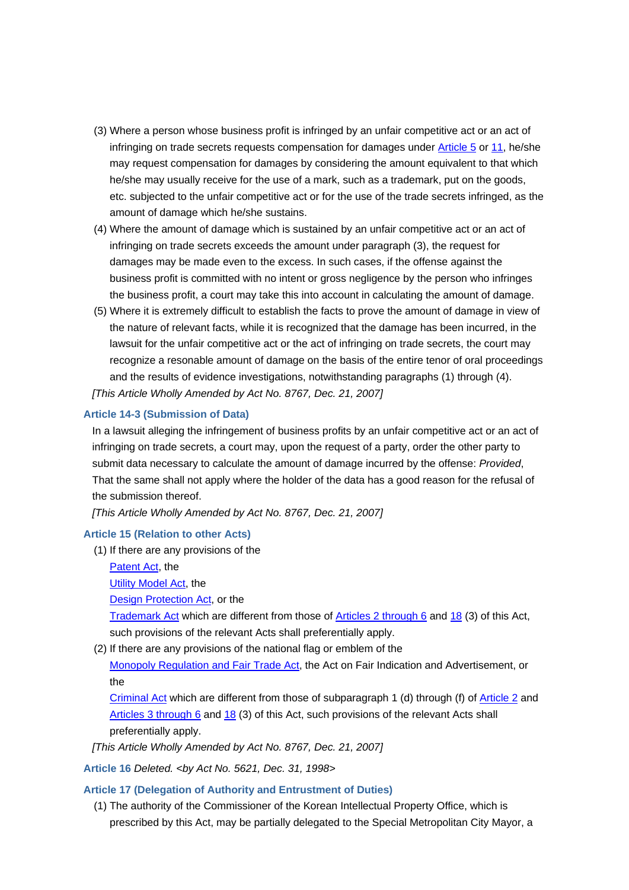- (3) Where a person whose business profit is infringed by an unfair competitive act or an act of infringing on trade secrets requests compensation for damages under Article 5 or 11, he/she may request compensation for damages by considering the amount equivalent to that which he/she may usually receive for the use of a mark, such as a trademark, put on the goods, etc. subjected to the unfair competitive act or for the use of the trade secrets infringed, as the amount of damage which he/she sustains.
- (4) Where the amount of damage which is sustained by an unfair competitive act or an act of infringing on trade secrets exceeds the amount under paragraph (3), the request for damages may be made even to the excess. In such cases, if the offense against the business profit is committed with no intent or gross negligence by the person who infringes the business profit, a court may take this into account in calculating the amount of damage.
- (5) Where it is extremely difficult to establish the facts to prove the amount of damage in view of the nature of relevant facts, while it is recognized that the damage has been incurred, in the lawsuit for the unfair competitive act or the act of infringing on trade secrets, the court may recognize a resonable amount of damage on the basis of the entire tenor of oral proceedings and the results of evidence investigations, notwithstanding paragraphs (1) through (4). *[This Article Wholly Amended by Act No. 8767, Dec. 21, 2007]*

### **Article 14-3 (Submission of Data)**

In a lawsuit alleging the infringement of business profits by an unfair competitive act or an act of infringing on trade secrets, a court may, upon the request of a party, order the other party to submit data necessary to calculate the amount of damage incurred by the offense: *Provided*, That the same shall not apply where the holder of the data has a good reason for the refusal of the submission thereof.

*[This Article Wholly Amended by Act No. 8767, Dec. 21, 2007]*

### **Article 15 (Relation to other Acts)**

- (1) If there are any provisions of the
	- Patent Act, the

Utility Model Act, the

Design Protection Act, or the

Trademark Act which are different from those of Articles 2 through 6 and 18 (3) of this Act, such provisions of the relevant Acts shall preferentially apply.

(2) If there are any provisions of the national flag or emblem of the

Monopoly Regulation and Fair Trade Act, the Act on Fair Indication and Advertisement, or the

Criminal Act which are different from those of subparagraph 1 (d) through (f) of Article 2 and Articles 3 through 6 and 18 (3) of this Act, such provisions of the relevant Acts shall preferentially apply.

*[This Article Wholly Amended by Act No. 8767, Dec. 21, 2007]*

**Article 16** *Deleted. <by Act No. 5621, Dec. 31, 1998>*

### **Article 17 (Delegation of Authority and Entrustment of Duties)**

(1) The authority of the Commissioner of the Korean Intellectual Property Office, which is prescribed by this Act, may be partially delegated to the Special Metropolitan City Mayor, a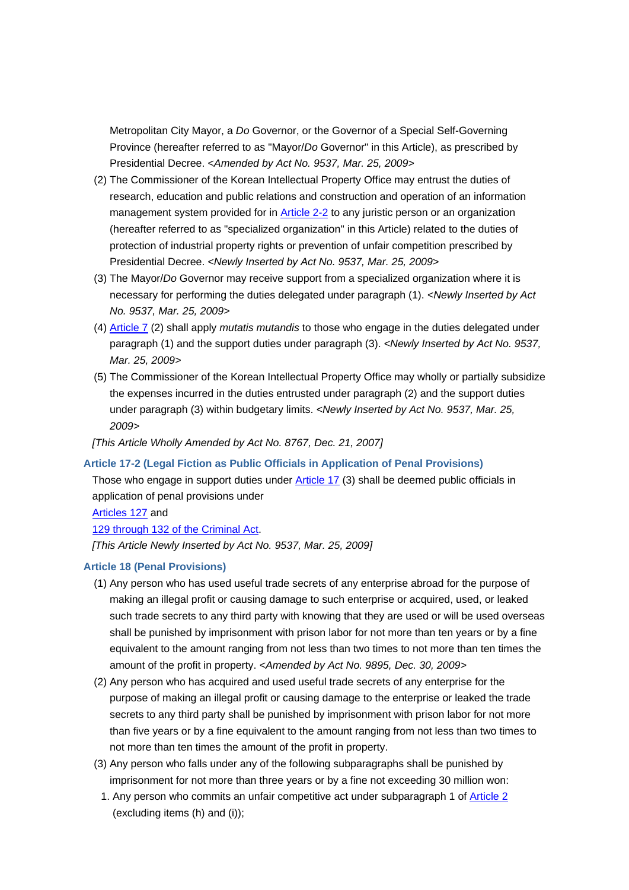Metropolitan City Mayor, a *Do* Governor, or the Governor of a Special Self-Governing Province (hereafter referred to as "Mayor/*Do* Governor" in this Article), as prescribed by Presidential Decree. *<Amended by Act No. 9537, Mar. 25, 2009>*

- (2) The Commissioner of the Korean Intellectual Property Office may entrust the duties of research, education and public relations and construction and operation of an information management system provided for in Article 2-2 to any juristic person or an organization (hereafter referred to as "specialized organization" in this Article) related to the duties of protection of industrial property rights or prevention of unfair competition prescribed by Presidential Decree. *<Newly Inserted by Act No. 9537, Mar. 25, 2009>*
- (3) The Mayor/*Do* Governor may receive support from a specialized organization where it is necessary for performing the duties delegated under paragraph (1). *<Newly Inserted by Act No. 9537, Mar. 25, 2009>*
- (4) Article 7 (2) shall apply *mutatis mutandis* to those who engage in the duties delegated under paragraph (1) and the support duties under paragraph (3). *<Newly Inserted by Act No. 9537, Mar. 25, 2009>*
- (5) The Commissioner of the Korean Intellectual Property Office may wholly or partially subsidize the expenses incurred in the duties entrusted under paragraph (2) and the support duties under paragraph (3) within budgetary limits. *<Newly Inserted by Act No. 9537, Mar. 25, 2009>*

*[This Article Wholly Amended by Act No. 8767, Dec. 21, 2007]*

### **Article 17-2 (Legal Fiction as Public Officials in Application of Penal Provisions)**

Those who engage in support duties under Article 17 (3) shall be deemed public officials in application of penal provisions under

Articles 127 and

129 through 132 of the Criminal Act.

*[This Article Newly Inserted by Act No. 9537, Mar. 25, 2009]*

### **Article 18 (Penal Provisions)**

- (1) Any person who has used useful trade secrets of any enterprise abroad for the purpose of making an illegal profit or causing damage to such enterprise or acquired, used, or leaked such trade secrets to any third party with knowing that they are used or will be used overseas shall be punished by imprisonment with prison labor for not more than ten years or by a fine equivalent to the amount ranging from not less than two times to not more than ten times the amount of the profit in property. *<Amended by Act No. 9895, Dec. 30, 2009>*
- (2) Any person who has acquired and used useful trade secrets of any enterprise for the purpose of making an illegal profit or causing damage to the enterprise or leaked the trade secrets to any third party shall be punished by imprisonment with prison labor for not more than five years or by a fine equivalent to the amount ranging from not less than two times to not more than ten times the amount of the profit in property.
- (3) Any person who falls under any of the following subparagraphs shall be punished by imprisonment for not more than three years or by a fine not exceeding 30 million won:
	- 1. Any person who commits an unfair competitive act under subparagraph 1 of Article 2 (excluding items (h) and (i));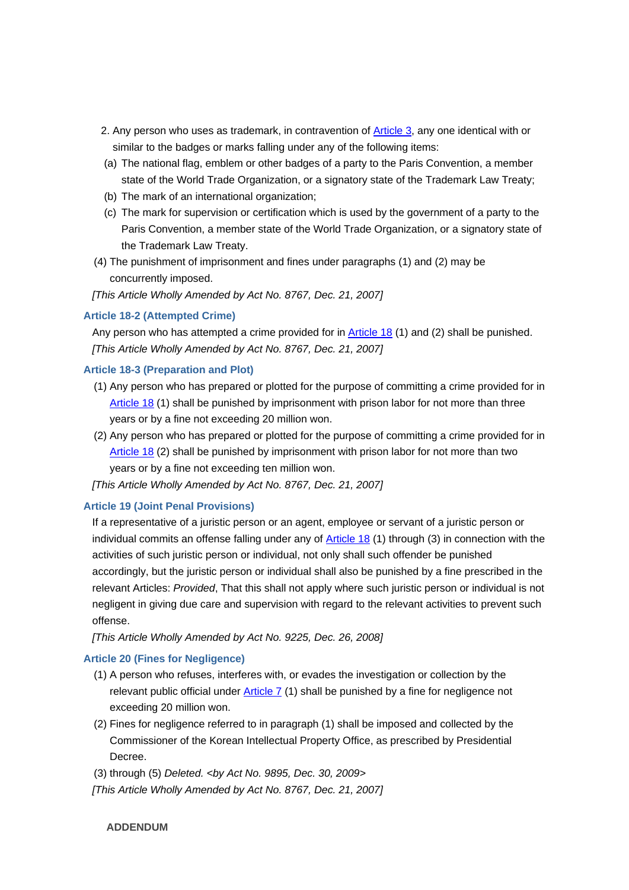- 2. Any person who uses as trademark, in contravention of **Article 3**, any one identical with or similar to the badges or marks falling under any of the following items:
- (a) The national flag, emblem or other badges of a party to the Paris Convention, a member state of the World Trade Organization, or a signatory state of the Trademark Law Treaty;
- (b) The mark of an international organization;
- (c) The mark for supervision or certification which is used by the government of a party to the Paris Convention, a member state of the World Trade Organization, or a signatory state of the Trademark Law Treaty.
- (4) The punishment of imprisonment and fines under paragraphs (1) and (2) may be concurrently imposed.

*[This Article Wholly Amended by Act No. 8767, Dec. 21, 2007]*

### **Article 18-2 (Attempted Crime)**

 Any person who has attempted a crime provided for in Article 18 (1) and (2) shall be punished. *[This Article Wholly Amended by Act No. 8767, Dec. 21, 2007]*

### **Article 18-3 (Preparation and Plot)**

- (1) Any person who has prepared or plotted for the purpose of committing a crime provided for in Article 18 (1) shall be punished by imprisonment with prison labor for not more than three years or by a fine not exceeding 20 million won.
- (2) Any person who has prepared or plotted for the purpose of committing a crime provided for in Article 18 (2) shall be punished by imprisonment with prison labor for not more than two years or by a fine not exceeding ten million won.

*[This Article Wholly Amended by Act No. 8767, Dec. 21, 2007]*

### **Article 19 (Joint Penal Provisions)**

If a representative of a juristic person or an agent, employee or servant of a juristic person or individual commits an offense falling under any of Article 18 (1) through (3) in connection with the activities of such juristic person or individual, not only shall such offender be punished accordingly, but the juristic person or individual shall also be punished by a fine prescribed in the relevant Articles: *Provided*, That this shall not apply where such juristic person or individual is not negligent in giving due care and supervision with regard to the relevant activities to prevent such offense.

*[This Article Wholly Amended by Act No. 9225, Dec. 26, 2008]*

### **Article 20 (Fines for Negligence)**

- (1) A person who refuses, interferes with, or evades the investigation or collection by the relevant public official under Article 7 (1) shall be punished by a fine for negligence not exceeding 20 million won.
- (2) Fines for negligence referred to in paragraph (1) shall be imposed and collected by the Commissioner of the Korean Intellectual Property Office, as prescribed by Presidential Decree.
- (3) through (5) *Deleted. <by Act No. 9895, Dec. 30, 2009>*

*[This Article Wholly Amended by Act No. 8767, Dec. 21, 2007]*

 **ADDENDUM**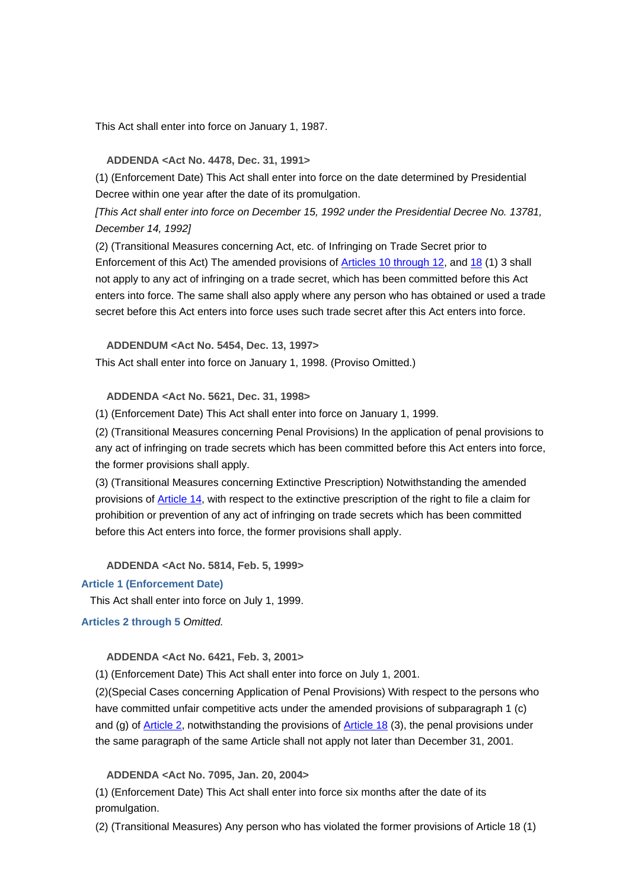This Act shall enter into force on January 1, 1987.

### **ADDENDA <Act No. 4478, Dec. 31, 1991>**

 (1) (Enforcement Date) This Act shall enter into force on the date determined by Presidential Decree within one year after the date of its promulgation.

 *[This Act shall enter into force on December 15, 1992 under the Presidential Decree No. 13781, December 14, 1992]*

(2) (Transitional Measures concerning Act, etc. of Infringing on Trade Secret prior to Enforcement of this Act) The amended provisions of Articles 10 through 12, and 18 (1) 3 shall not apply to any act of infringing on a trade secret, which has been committed before this Act enters into force. The same shall also apply where any person who has obtained or used a trade secret before this Act enters into force uses such trade secret after this Act enters into force.

 **ADDENDUM <Act No. 5454, Dec. 13, 1997>**

This Act shall enter into force on January 1, 1998. (Proviso Omitted.)

 **ADDENDA <Act No. 5621, Dec. 31, 1998>**

(1) (Enforcement Date) This Act shall enter into force on January 1, 1999.

(2) (Transitional Measures concerning Penal Provisions) In the application of penal provisions to any act of infringing on trade secrets which has been committed before this Act enters into force, the former provisions shall apply.

(3) (Transitional Measures concerning Extinctive Prescription) Notwithstanding the amended provisions of Article 14, with respect to the extinctive prescription of the right to file a claim for prohibition or prevention of any act of infringing on trade secrets which has been committed before this Act enters into force, the former provisions shall apply.

 **ADDENDA <Act No. 5814, Feb. 5, 1999>**

### **Article 1 (Enforcement Date)**

This Act shall enter into force on July 1, 1999.

### **Articles 2 through 5** *Omitted.*

 **ADDENDA <Act No. 6421, Feb. 3, 2001>**

(1) (Enforcement Date) This Act shall enter into force on July 1, 2001.

(2)(Special Cases concerning Application of Penal Provisions) With respect to the persons who have committed unfair competitive acts under the amended provisions of subparagraph 1 (c) and (g) of Article 2, notwithstanding the provisions of Article 18 (3), the penal provisions under the same paragraph of the same Article shall not apply not later than December 31, 2001.

### **ADDENDA <Act No. 7095, Jan. 20, 2004>**

 (1) (Enforcement Date) This Act shall enter into force six months after the date of its promulgation.

(2) (Transitional Measures) Any person who has violated the former provisions of Article 18 (1)